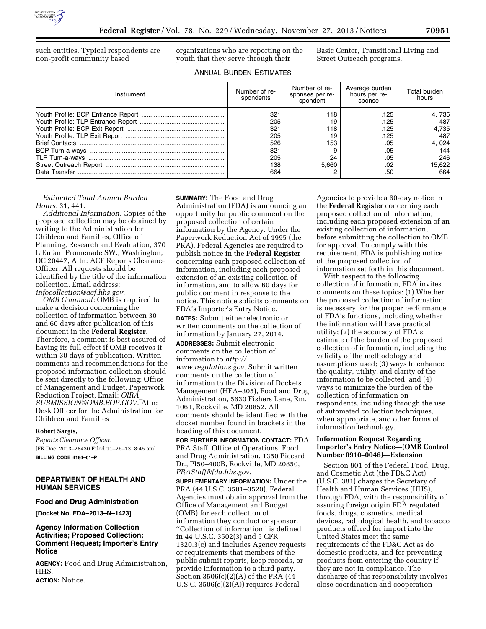

such entities. Typical respondents are non-profit community based

organizations who are reporting on the youth that they serve through their

Basic Center, Transitional Living and Street Outreach programs.

# ANNUAL BURDEN ESTIMATES

| Instrument | Number of re-<br>spondents | Number of re-<br>sponses per re-<br>spondent | Average burden<br>hours per re-<br>sponse | Total burden<br>hours |
|------------|----------------------------|----------------------------------------------|-------------------------------------------|-----------------------|
|            | 321                        | 18                                           | .125                                      | 4, 735                |
|            | 205                        | 19                                           | .125                                      | 487                   |
|            | 321                        | 118                                          | .125                                      | 4.735                 |
|            | 205                        | 19                                           | .125                                      | 487                   |
|            | 526                        | 153                                          | .05                                       | 4, 024                |
|            | 321                        |                                              | .05                                       | 144                   |
|            | 205                        | 24                                           | .05                                       | 246                   |
|            | 138                        | 5.660                                        | .02                                       | 15.622                |
|            | 664                        |                                              | .50                                       | 664                   |

### *Estimated Total Annual Burden Hours:* 31, 441.

*Additional Information:* Copies of the proposed collection may be obtained by writing to the Administration for Children and Families, Office of Planning, Research and Evaluation, 370 L'Enfant Promenade SW., Washington, DC 20447, Attn: ACF Reports Clearance Officer. All requests should be identified by the title of the information collection. Email address: *[infocollection@acf.hhs.gov](mailto:infocollection@acf.hhs.gov)*.

*OMB Comment:* OMB is required to make a decision concerning the collection of information between 30 and 60 days after publication of this document in the **Federal Register**. Therefore, a comment is best assured of having its full effect if OMB receives it within 30 days of publication. Written comments and recommendations for the proposed information collection should be sent directly to the following: Office of Management and Budget, Paperwork Reduction Project, Email: *[OIRA](mailto:OIRA_SUBMISSION@OMB.EOP.GOV)*\_ *[SUBMISSION@OMB.EOP.GOV](mailto:OIRA_SUBMISSION@OMB.EOP.GOV)*. Attn: Desk Officer for the Administration for Children and Families

#### **Robert Sargis,**

*Reports Clearance Officer.*  [FR Doc. 2013–28430 Filed 11–26–13; 8:45 am] **BILLING CODE 4184–01–P** 

# **DEPARTMENT OF HEALTH AND HUMAN SERVICES**

#### **Food and Drug Administration**

**[Docket No. FDA–2013–N–1423]** 

#### **Agency Information Collection Activities; Proposed Collection; Comment Request; Importer's Entry Notice**

**AGENCY:** Food and Drug Administration, HHS.

**ACTION:** Notice.

**SUMMARY:** The Food and Drug Administration (FDA) is announcing an opportunity for public comment on the proposed collection of certain information by the Agency. Under the Paperwork Reduction Act of 1995 (the PRA), Federal Agencies are required to publish notice in the **Federal Register**  concerning each proposed collection of information, including each proposed extension of an existing collection of information, and to allow 60 days for public comment in response to the notice. This notice solicits comments on FDA's Importer's Entry Notice.

**DATES:** Submit either electronic or written comments on the collection of information by January 27, 2014.

**ADDRESSES:** Submit electronic comments on the collection of information to *[http://](http://www.regulations.gov) [www.regulations.gov.](http://www.regulations.gov)* Submit written comments on the collection of information to the Division of Dockets Management (HFA–305), Food and Drug Administration, 5630 Fishers Lane, Rm. 1061, Rockville, MD 20852. All comments should be identified with the docket number found in brackets in the heading of this document.

**FOR FURTHER INFORMATION CONTACT:** FDA PRA Staff, Office of Operations, Food and Drug Administration, 1350 Piccard Dr., PI50–400B, Rockville, MD 20850, *[PRAStaff@fda.hhs.gov.](mailto:PRAStaff@fda.hhs.gov)* 

**SUPPLEMENTARY INFORMATION:** Under the PRA (44 U.S.C. 3501–3520), Federal Agencies must obtain approval from the Office of Management and Budget (OMB) for each collection of information they conduct or sponsor. ''Collection of information'' is defined in 44 U.S.C. 3502(3) and 5 CFR 1320.3(c) and includes Agency requests or requirements that members of the public submit reports, keep records, or provide information to a third party. Section 3506(c)(2)(A) of the PRA (44 U.S.C. 3506(c)(2)(A)) requires Federal

Agencies to provide a 60-day notice in the **Federal Register** concerning each proposed collection of information, including each proposed extension of an existing collection of information, before submitting the collection to OMB for approval. To comply with this requirement, FDA is publishing notice of the proposed collection of information set forth in this document.

With respect to the following collection of information, FDA invites comments on these topics: (1) Whether the proposed collection of information is necessary for the proper performance of FDA's functions, including whether the information will have practical utility; (2) the accuracy of FDA's estimate of the burden of the proposed collection of information, including the validity of the methodology and assumptions used; (3) ways to enhance the quality, utility, and clarity of the information to be collected; and (4) ways to minimize the burden of the collection of information on respondents, including through the use of automated collection techniques, when appropriate, and other forms of information technology.

#### **Information Request Regarding Importer's Entry Notice—(OMB Control Number 0910–0046)—Extension**

Section 801 of the Federal Food, Drug, and Cosmetic Act (the FD&C Act) (U.S.C. 381) charges the Secretary of Health and Human Services (HHS), through FDA, with the responsibility of assuring foreign origin FDA regulated foods, drugs, cosmetics, medical devices, radiological health, and tobacco products offered for import into the United States meet the same requirements of the FD&C Act as do domestic products, and for preventing products from entering the country if they are not in compliance. The discharge of this responsibility involves close coordination and cooperation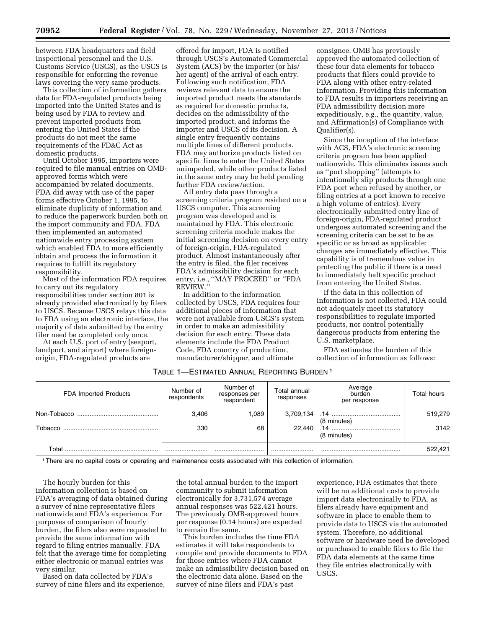between FDA headquarters and field inspectional personnel and the U.S. Customs Service (USCS), as the USCS is responsible for enforcing the revenue laws covering the very same products.

This collection of information gathers data for FDA-regulated products being imported into the United States and is being used by FDA to review and prevent imported products from entering the United States if the products do not meet the same requirements of the FD&C Act as domestic products.

Until October 1995, importers were required to file manual entries on OMBapproved forms which were accompanied by related documents. FDA did away with use of the paper forms effective October 1, 1995, to eliminate duplicity of information and to reduce the paperwork burden both on the import community and FDA. FDA then implemented an automated nationwide entry processing system which enabled FDA to more efficiently obtain and process the information it requires to fulfill its regulatory responsibility.

Most of the information FDA requires to carry out its regulatory responsibilities under section 801 is already provided electronically by filers to USCS. Because USCS relays this data to FDA using an electronic interface, the majority of data submitted by the entry filer need be completed only once.

At each U.S. port of entry (seaport, landport, and airport) where foreignorigin, FDA-regulated products are

offered for import, FDA is notified through USCS's Automated Commercial System (ACS) by the importer (or his/ her agent) of the arrival of each entry. Following such notification, FDA reviews relevant data to ensure the imported product meets the standards as required for domestic products, decides on the admissibility of the imported product, and informs the importer and USCS of its decision. A single entry frequently contains multiple lines of different products. FDA may authorize products listed on specific lines to enter the United States unimpeded, while other products listed in the same entry may be held pending further FDA review/action.

All entry data pass through a screening criteria program resident on a USCS computer. This screening program was developed and is maintained by FDA. This electronic screening criteria module makes the initial screening decision on every entry of foreign-origin, FDA-regulated product. Almost instantaneously after the entry is filed, the filer receives FDA's admissibility decision for each entry, i.e., ''MAY PROCEED'' or ''FDA REVIEW.''

In addition to the information collected by USCS, FDA requires four additional pieces of information that were not available from USCS's system in order to make an admissibility decision for each entry. These data elements include the FDA Product Code, FDA country of production, manufacturer/shipper, and ultimate

consignee. OMB has previously approved the automated collection of these four data elements for tobacco products that filers could provide to FDA along with other entry-related information. Providing this information to FDA results in importers receiving an FDA admissibility decision more expeditiously, e.g., the quantity, value, and Affirmation(s) of Compliance with Qualifier(s).

Since the inception of the interface with ACS, FDA's electronic screening criteria program has been applied nationwide. This eliminates issues such as ''port shopping'' (attempts to intentionally slip products through one FDA port when refused by another, or filing entries at a port known to receive a high volume of entries). Every electronically submitted entry line of foreign-origin, FDA-regulated product undergoes automated screening and the screening criteria can be set to be as specific or as broad as applicable; changes are immediately effective. This capability is of tremendous value in protecting the public if there is a need to immediately halt specific product from entering the United States.

If the data in this collection of information is not collected, FDA could not adequately meet its statutory responsibilities to regulate imported products, nor control potentially dangerous products from entering the U.S. marketplace.

FDA estimates the burden of this collection of information as follows:

# TABLE 1—ESTIMATED ANNUAL REPORTING BURDEN 1

| FDA Imported Products | Number of<br>respondents | Number of<br>responses per<br>respondent | Total annual<br>responses | Average<br>burden<br>per response | <b>Total hours</b> |
|-----------------------|--------------------------|------------------------------------------|---------------------------|-----------------------------------|--------------------|
|                       | 3.406                    | .089                                     | 3,709,134                 | (8 minutes)                       | 519,279            |
| Tobacco               | 330                      | 68                                       | 22.440                    | (8 minutes)                       | 3142               |
| Total                 |                          |                                          |                           |                                   | 522,421            |

1There are no capital costs or operating and maintenance costs associated with this collection of information.

The hourly burden for this information collection is based on FDA's averaging of data obtained during a survey of nine representative filers nationwide and FDA's experience. For purposes of comparison of hourly burden, the filers also were requested to provide the same information with regard to filing entries manually. FDA felt that the average time for completing either electronic or manual entries was very similar.

Based on data collected by FDA's survey of nine filers and its experience,

the total annual burden to the import community to submit information electronically for 3,731,574 average annual responses was 522,421 hours. The previously OMB-approved hours per response (0.14 hours) are expected to remain the same.

This burden includes the time FDA estimates it will take respondents to compile and provide documents to FDA for those entries where FDA cannot make an admissibility decision based on the electronic data alone. Based on the survey of nine filers and FDA's past

experience, FDA estimates that there will be no additional costs to provide import data electronically to FDA, as filers already have equipment and software in place to enable them to provide data to USCS via the automated system. Therefore, no additional software or hardware need be developed or purchased to enable filers to file the FDA data elements at the same time they file entries electronically with USCS.